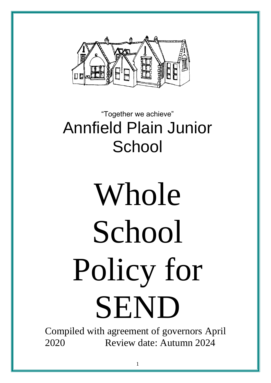

# "Together we achieve" Annfield Plain Junior **School**

# Whole **School** Policy for SEND

Compiled with agreement of governors April 2020 Review date: Autumn 2024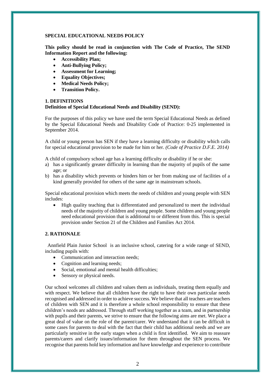### **SPECIAL EDUCATIONAL NEEDS POLICY**

**This policy should be read in conjunction with The Code of Practice, The SEND Information Report and the following:**

- **Accessibility Plan;**
- **Anti-Bullying Policy;**
- **Assessment for Learning;**
- **Equality Objectives;**
- **Medical Needs Policy;**
- **Transition Policy.**

#### **1. DEFINITIONS Definition of Special Educational Needs and Disability (SEND):**

For the purposes of this policy we have used the term Special Educational Needs as defined by the Special Educational Needs and Disability Code of Practice: 0-25 implemented in September 2014.

A child or young person has SEN if they have a learning difficulty or disability which calls for special educational provision to be made for him or her. *(Code of Practice D.F.E. 2014)* 

A child of compulsory school age has a learning difficulty or disability if he or she:

- a) has a significantly greater difficulty in learning than the majority of pupils of the same age; or
- b) has a disability which prevents or hinders him or her from making use of facilities of a kind generally provided for others of the same age in mainstream schools.

Special educational provision which meets the needs of children and young people with SEN includes:

• High quality teaching that is differentiated and personalized to meet the individual needs of the majority of children and young people. Some children and young people need educational provision that is additional to or different from this. This is special provision under Section 21 of the Children and Families Act 2014.

# **2. RATIONALE**

 Annfield Plain Junior School is an inclusive school, catering for a wide range of SEND, including pupils with:

- Communication and interaction needs;
- Cognition and learning needs;
- Social, emotional and mental health difficulties;
- Sensory or physical needs.

Our school welcomes all children and values them as individuals, treating them equally and with respect. We believe that all children have the right to have their own particular needs recognised and addressed in order to achieve success. We believe that all teachers are teachers of children with SEN and it is therefore a whole school responsibility to ensure that these children's needs are addressed. Through staff working together as a team, and in partnership with pupils and their parents, we strive to ensure that the following aims are met. We place a great deal of value on the role of the parent/carer. We understand that it can be difficult in some cases for parents to deal with the fact that their child has additional needs and we are particularly sensitive in the early stages when a child is first identified. We aim to reassure parents/carers and clarify issues/information for them throughout the SEN process. We recognise that parents hold key information and have knowledge and experience to contribute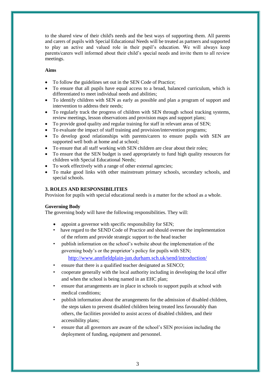to the shared view of their child's needs and the best ways of supporting them. All parents and carers of pupils with Special Educational Needs will be treated as partners and supported to play an active and valued role in their pupil's education. We will always keep parents/carers well informed about their child's special needs and invite them to all review meetings.

# **Aims**

- To follow the guidelines set out in the SEN Code of Practice;
- To ensure that all pupils have equal access to a broad, balanced curriculum, which is differentiated to meet individual needs and abilities;
- To identify children with SEN as early as possible and plan a program of support and intervention to address their needs;
- To regularly track the progress of children with SEN through school tracking systems, review meetings, lesson observations and provision maps and support plans;
- To provide good quality and regular training for staff in relevant areas of SEN;
- To evaluate the impact of staff training and provision/intervention programs;
- To develop good relationships with parents/carers to ensure pupils with SEN are supported well both at home and at school;
- To ensure that all staff working with SEN children are clear about their roles;
- To ensure that the SEN budget is used appropriately to fund high quality resources for children with Special Educational Needs;
- To work effectively with a range of other external agencies;
- To make good links with other mainstream primary schools, secondary schools, and special schools.

# **3. ROLES AND RESPONSIBILITIES**

Provision for pupils with special educational needs is a matter for the school as a whole.

# **Governing Body**

The governing body will have the following responsibilities. They will:

- appoint a governor with specific responsibility for SEN;
- have regard to the SEND Code of Practice and should oversee the implementation of the reform and provide strategic support to the head teacher
- publish information on the school's website about the implementation of the governing body's or the proprietor's policy for pupils with SEN;
	- <http://www.annfieldplain-jun.durham.sch.uk/send/introduction/>
- ensure that there is a qualified teacher designated as SENCO;
- cooperate generally with the local authority including in developing the local offer and when the school is being named in an EHC plan;
- ensure that arrangements are in place in schools to support pupils at school with medical conditions;
- publish information about the arrangements for the admission of disabled children, the steps taken to prevent disabled children being treated less favourably than others, the facilities provided to assist access of disabled children, and their accessibility plans;
- ensure that all governors are aware of the school's SEN provision including the deployment of funding, equipment and personnel.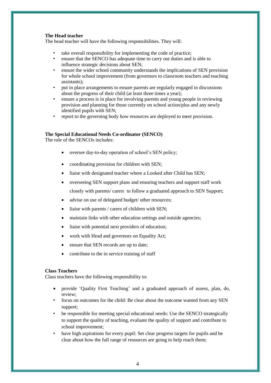### **The Head teacher**

The head teacher will have the following responsibilities. They will:

- take overall responsibility for implementing the code of practice;
- ensure that the SENCO has adequate time to carry out duties and is able to influence strategic decisions about SEN;
- ensure the wider school community understands the implications of SEN provision for whole school improvement (from governors to classroom teachers and teaching assistants);
- put in place arrangements to ensure parents are regularly engaged in discussions about the progress of their child (at least three times a year);
- ensure a process is in place for involving parents and young people in reviewing provision and planning for those currently on school action/plus and any newly identified pupils with SEN;
- report to the governing body how resources are deployed to meet provision.

#### **The Special Educational Needs Co-ordinator (SENCO)**

The role of the SENCOs includes:

- oversee day-to-day operation of school's SEN policy;
- coordinating provision for children with SEN;
- liaise with designated teacher where a Looked after Child has SEN;
- overseeing SEN support plans and ensuring teachers and support staff work closely with parents/ carers to follow a graduated approach to SEN Support;
- advise on use of delegated budget/ other resources;
- liaise with parents / carers of children with SEN;
- maintain links with other education settings and outside agencies;
- liaise with potential next providers of education;
- work with Head and governors on Equality Act;
- ensure that SEN records are up to date;
- contribute to the in service training of staff

#### **Class Teachers**

Class teachers have the following responsibility to:

- provide 'Quality First Teaching' and a graduated approach of assess, plan, do, review;
- focus on outcomes for the child: Be clear about the outcome wanted from any SEN support;
- be responsible for meeting special educational needs: Use the SENCO strategically to support the quality of teaching, evaluate the quality of support and contribute to school improvement;
- have high aspirations for every pupil: Set clear progress targets for pupils and be clear about how the full range of resources are going to help reach them;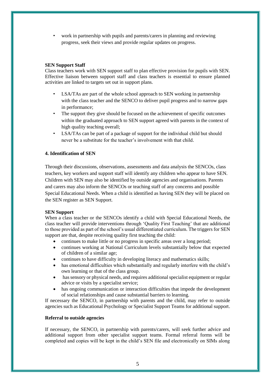• work in partnership with pupils and parents/carers in planning and reviewing progress, seek their views and provide regular updates on progress.

# **SEN Support Staff**

Class teachers work with SEN support staff to plan effective provision for pupils with SEN. Effective liaison between support staff and class teachers is essential to ensure planned activities are linked to targets set out in support plans.

- LSA/TAs are part of the whole school approach to SEN working in partnership with the class teacher and the SENCO to deliver pupil progress and to narrow gaps in performance;
- The support they give should be focused on the achievement of specific outcomes within the graduated approach to SEN support agreed with parents in the context of high quality teaching overall;
- LSA/TAs can be part of a package of support for the individual child but should never be a substitute for the teacher's involvement with that child.

# **4. Identification of SEN**

Through their discussions, observations, assessments and data analysis the SENCOs, class teachers, key workers and support staff will identify any children who appear to have SEN. Children with SEN may also be identified by outside agencies and organisations. Parents and carers may also inform the SENCOs or teaching staff of any concerns and possible Special Educational Needs. When a child is identified as having SEN they will be placed on the SEN register as SEN Support.

# **SEN Support**

When a class teacher or the SENCOs identify a child with Special Educational Needs, the class teacher will provide interventions through 'Quality First Teaching' that are additional to those provided as part of the school's usual differentiated curriculum. The triggers for SEN support are that, despite receiving quality first teaching the child:

- continues to make little or no progress in specific areas over a long period;
- continues working at National Curriculum levels substantially below that expected of children of a similar age;
- continues to have difficulty in developing literacy and mathematics skills;
- has emotional difficulties which substantially and regularly interfere with the child's own learning or that of the class group.
- has sensory or physical needs, and requires additional specialist equipment or regular advice or visits by a specialist service;
- has ongoing communication or interaction difficulties that impede the development of social relationships and cause substantial barriers to learning.

If necessary the SENCO, in partnership with parents and the child, may refer to outside agencies such as Educational Psychology or Specialist Support Teams for additional support.

# **Referral to outside agencies**

If necessary, the SENCO, in partnership with parents/carers, will seek further advice and additional support from other specialist support teams. Formal referral forms will be completed and copies will be kept in the child's SEN file and electronically on SIMs along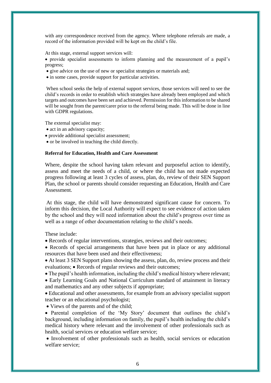with any correspondence received from the agency. Where telephone referrals are made, a record of the information provided will be kept on the child's file.

At this stage, external support services will:

• provide specialist assessments to inform planning and the measurement of a pupil's progress;

- give advice on the use of new or specialist strategies or materials and;
- in some cases, provide support for particular activities.

When school seeks the help of external support services, those services will need to see the child's records in order to establish which strategies have already been employed and which targets and outcomes have been set and achieved. Permission for this information to be shared will be sought from the parent/carer prior to the referral being made. This will be done in line with GDPR regulations.

The external specialist may:

- act in an advisory capacity;
- provide additional specialist assessment;
- or be involved in teaching the child directly.

### **Referral for Education, Health and Care Assessment**

Where, despite the school having taken relevant and purposeful action to identify, assess and meet the needs of a child, or where the child has not made expected progress following at least 3 cycles of assess, plan, do, review of their SEN Support Plan, the school or parents should consider requesting an Education, Health and Care Assessment.

At this stage, the child will have demonstrated significant cause for concern. To inform this decision, the Local Authority will expect to see evidence of action taken by the school and they will need information about the child's progress over time as well as a range of other documentation relating to the child's needs.

These include:

• Records of regular interventions, strategies, reviews and their outcomes;

• Records of special arrangements that have been put in place or any additional resources that have been used and their effectiveness;

• At least 3 SEN Support plans showing the assess, plan, do, review process and their evaluations; • Records of regular reviews and their outcomes;

• The pupil's health information, including the child's medical history where relevant;

• Early Learning Goals and National Curriculum standard of attainment in literacy and mathematics and any other subjects if appropriate;

• Educational and other assessments, for example from an advisory specialist support teacher or an educational psychologist;

• Views of the parents and of the child;

• Parental completion of the 'My Story' document that outlines the child's background, including information on family, the pupil's health including the child's medical history where relevant and the involvement of other professionals such as health, social services or education welfare service;

• Involvement of other professionals such as health, social services or education welfare service;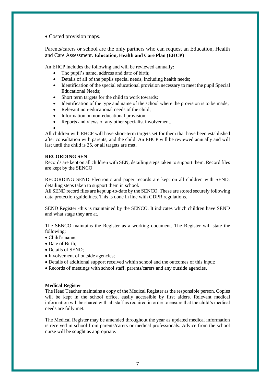• Costed provision maps.

Parents/carers or school are the only partners who can request an Education, Health and Care Assessment. **Education, Health and Care Plan (EHCP)**

An EHCP includes the following and will be reviewed annually:

- The pupil's name, address and date of birth;
- Details of all of the pupils special needs, including health needs;
- Identification of the special educational provision necessary to meet the pupil Special Educational Needs;
- Short term targets for the child to work towards;
- Identification of the type and name of the school where the provision is to be made;
- Relevant non-educational needs of the child;
- Information on non-educational provision;
- Reports and views of any other specialist involvement.

• All children with EHCP will have short-term targets set for them that have been established after consultation with parents, and the child. An EHCP will be reviewed annually and will last until the child is 25, or all targets are met.

#### **RECORDING SEN**

Records are kept on all children with SEN, detailing steps taken to support them. Record files are kept by the SENCO

RECORDING SEND Electronic and paper records are kept on all children with SEND, detailing steps taken to support them in school.

All SEND record files are kept up-to-date by the SENCO. These are stored securely following data protection guidelines. This is done in line with GDPR regulations.

SEND Register -this is maintained by the SENCO. It indicates which children have SEND and what stage they are at.

The SENCO maintains the Register as a working document. The Register will state the following:

- Child's name;
- Date of Birth;
- Details of SEND;
- Involvement of outside agencies;
- Details of additional support received within school and the outcomes of this input;
- Records of meetings with school staff, parents/carers and any outside agencies.

#### **Medical Register**

The Head Teacher maintains a copy of the Medical Register as the responsible person. Copies will be kept in the school office, easily accessible by first aiders. Relevant medical information will be shared with all staff as required in order to ensure that the child's medical needs are fully met.

The Medical Register may be amended throughout the year as updated medical information is received in school from parents/carers or medical professionals. Advice from the school nurse will be sought as appropriate.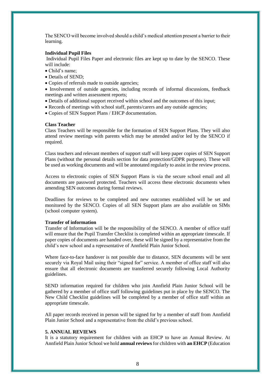The SENCO will become involved should a child's medical attention present a barrier to their learning.

#### **Individual Pupil Files**

Individual Pupil Files Paper and electronic files are kept up to date by the SENCO. These will include:

- Child's name;
- Details of SEND;
- Copies of referrals made to outside agencies;

• Involvement of outside agencies, including records of informal discussions, feedback meetings and written assessment reports;

- Details of additional support received within school and the outcomes of this input;
- Records of meetings with school staff, parents/carers and any outside agencies;
- Copies of SEN Support Plans / EHCP documentation.

# **Class Teacher**

Class Teachers will be responsible for the formation of SEN Support Plans. They will also attend review meetings with parents which may be attended and/or led by the SENCO if required.

Class teachers and relevant members of support staff will keep paper copies of SEN Support Plans (without the personal details section for data protection/GDPR purposes). These will be used as working documents and will be annotated regularly to assist in the review process.

Access to electronic copies of SEN Support Plans is via the secure school email and all documents are password protected. Teachers will access these electronic documents when amending SEN outcomes during formal reviews.

Deadlines for reviews to be completed and new outcomes established will be set and monitored by the SENCO. Copies of all SEN Support plans are also available on SIMs (school computer system).

# **Transfer of information**

Transfer of Information will be the responsibility of the SENCO. A member of office staff will ensure that the Pupil Transfer Checklist is completed within an appropriate timescale. If paper copies of documents are handed over, these will be signed by a representative from the child's new school and a representative of Annfield Plain Junior School.

Where face-to-face handover is not possible due to distance, SEN documents will be sent securely via Royal Mail using their "signed for" service. A member of office staff will also ensure that all electronic documents are transferred securely following Local Authority guidelines.

SEND information required for children who join Annfield Plain Junior School will be gathered by a member of office staff following guidelines put in place by the SENCO. The New Child Checklist guidelines will be completed by a member of office staff within an appropriate timescale.

All paper records received in person will be signed for by a member of staff from Annfield Plain Junior School and a representative from the child's previous school.

#### **5. ANNUAL REVIEWS**

It is a statutory requirement for children with an EHCP to have an Annual Review. At Annfield Plain Junior School we hold **annual reviews**for children with **an EHCP** (Education